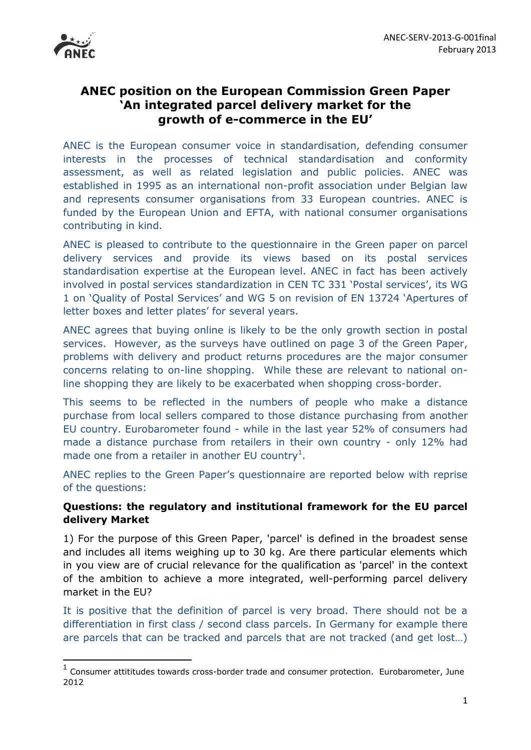

1

# **ANEC position on the European Commission Green Paper 'An integrated parcel delivery market for the growth of e-commerce in the EU'**

ANEC is the European consumer voice in standardisation, defending consumer interests in the processes of technical standardisation and conformity assessment, as well as related legislation and public policies. ANEC was established in 1995 as an international non-profit association under Belgian law and represents consumer organisations from 33 European countries. ANEC is funded by the European Union and EFTA, with national consumer organisations contributing in kind.

ANEC is pleased to contribute to the questionnaire in the Green paper on parcel delivery services and provide its views based on its postal services standardisation expertise at the European level. ANEC in fact has been actively involved in postal services standardization in CEN TC 331 'Postal services', its WG 1 on 'Quality of Postal Services' and WG 5 on revision of EN 13724 'Apertures of letter boxes and letter plates' for several years.

ANEC agrees that buying online is likely to be the only growth section in postal services. However, as the surveys have outlined on page 3 of the Green Paper, problems with delivery and product returns procedures are the major consumer concerns relating to on-line shopping. While these are relevant to national online shopping they are likely to be exacerbated when shopping cross-border.

This seems to be reflected in the numbers of people who make a distance purchase from local sellers compared to those distance purchasing from another EU country. Eurobarometer found - while in the last year 52% of consumers had made a distance purchase from retailers in their own country - only 12% had made one from a retailer in another EU country<sup>1</sup>.

ANEC replies to the Green Paper's questionnaire are reported below with reprise of the questions:

## **Questions: the regulatory and institutional framework for the EU parcel delivery Market**

1) For the purpose of this Green Paper, 'parcel' is defined in the broadest sense and includes all items weighing up to 30 kg. Are there particular elements which in you view are of crucial relevance for the qualification as 'parcel' in the context of the ambition to achieve a more integrated, well-performing parcel delivery market in the EU?

It is positive that the definition of parcel is very broad. There should not be a differentiation in first class / second class parcels. In Germany for example there are parcels that can be tracked and parcels that are not tracked (and get lost…)

<sup>&</sup>lt;sup>1</sup> Consumer attititudes towards cross-border trade and consumer protection. Eurobarometer, June 2012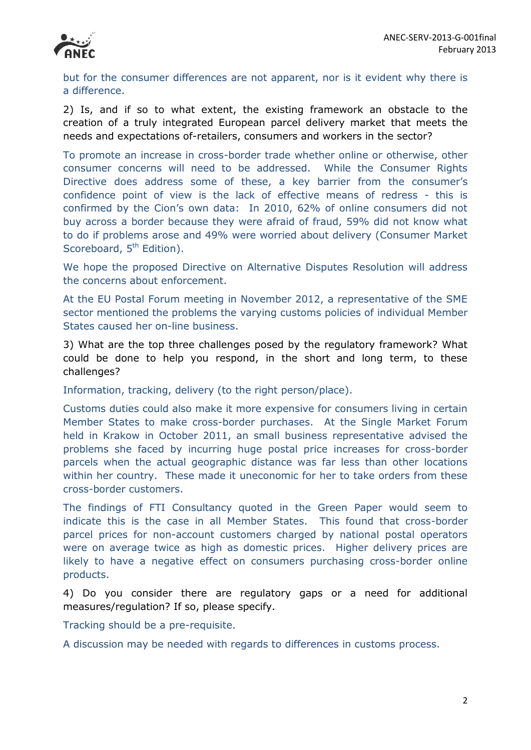

but for the consumer differences are not apparent, nor is it evident why there is a difference.

2) Is, and if so to what extent, the existing framework an obstacle to the creation of a truly integrated European parcel delivery market that meets the needs and expectations of-retailers, consumers and workers in the sector?

To promote an increase in cross-border trade whether online or otherwise, other consumer concerns will need to be addressed. While the Consumer Rights Directive does address some of these, a key barrier from the consumer's confidence point of view is the lack of effective means of redress - this is confirmed by the Cion's own data: In 2010, 62% of online consumers did not buy across a border because they were afraid of fraud, 59% did not know what to do if problems arose and 49% were worried about delivery (Consumer Market Scoreboard, 5<sup>th</sup> Edition).

We hope the proposed Directive on Alternative Disputes Resolution will address the concerns about enforcement.

At the EU Postal Forum meeting in November 2012, a representative of the SME sector mentioned the problems the varying customs policies of individual Member States caused her on-line business.

3) What are the top three challenges posed by the regulatory framework? What could be done to help you respond, in the short and long term, to these challenges?

Information, tracking, delivery (to the right person/place).

Customs duties could also make it more expensive for consumers living in certain Member States to make cross-border purchases. At the Single Market Forum held in Krakow in October 2011, an small business representative advised the problems she faced by incurring huge postal price increases for cross-border parcels when the actual geographic distance was far less than other locations within her country. These made it uneconomic for her to take orders from these cross-border customers.

The findings of FTI Consultancy quoted in the Green Paper would seem to indicate this is the case in all Member States. This found that cross-border parcel prices for non-account customers charged by national postal operators were on average twice as high as domestic prices. Higher delivery prices are likely to have a negative effect on consumers purchasing cross-border online products.

4) Do you consider there are regulatory gaps or a need for additional measures/regulation? If so, please specify.

Tracking should be a pre-requisite.

A discussion may be needed with regards to differences in customs process.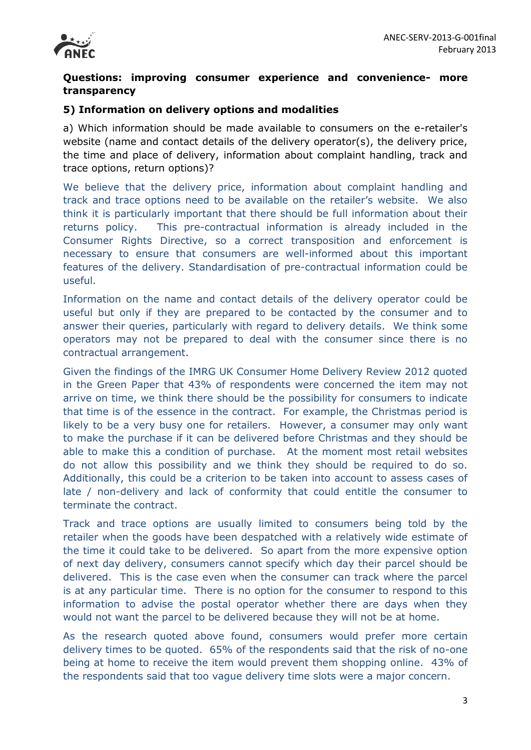

## **Questions: improving consumer experience and convenience- more transparency**

#### **5) Information on delivery options and modalities**

a) Which information should be made available to consumers on the e-retailer's website (name and contact details of the delivery operator(s), the delivery price, the time and place of delivery, information about complaint handling, track and trace options, return options)?

We believe that the delivery price, information about complaint handling and track and trace options need to be available on the retailer's website. We also think it is particularly important that there should be full information about their returns policy. This pre-contractual information is already included in the Consumer Rights Directive, so a correct transposition and enforcement is necessary to ensure that consumers are well-informed about this important features of the delivery. Standardisation of pre-contractual information could be useful.

Information on the name and contact details of the delivery operator could be useful but only if they are prepared to be contacted by the consumer and to answer their queries, particularly with regard to delivery details. We think some operators may not be prepared to deal with the consumer since there is no contractual arrangement.

Given the findings of the IMRG UK Consumer Home Delivery Review 2012 quoted in the Green Paper that 43% of respondents were concerned the item may not arrive on time, we think there should be the possibility for consumers to indicate that time is of the essence in the contract. For example, the Christmas period is likely to be a very busy one for retailers. However, a consumer may only want to make the purchase if it can be delivered before Christmas and they should be able to make this a condition of purchase. At the moment most retail websites do not allow this possibility and we think they should be required to do so. Additionally, this could be a criterion to be taken into account to assess cases of late / non-delivery and lack of conformity that could entitle the consumer to terminate the contract.

Track and trace options are usually limited to consumers being told by the retailer when the goods have been despatched with a relatively wide estimate of the time it could take to be delivered. So apart from the more expensive option of next day delivery, consumers cannot specify which day their parcel should be delivered. This is the case even when the consumer can track where the parcel is at any particular time. There is no option for the consumer to respond to this information to advise the postal operator whether there are days when they would not want the parcel to be delivered because they will not be at home.

As the research quoted above found, consumers would prefer more certain delivery times to be quoted. 65% of the respondents said that the risk of no-one being at home to receive the item would prevent them shopping online. 43% of the respondents said that too vague delivery time slots were a major concern.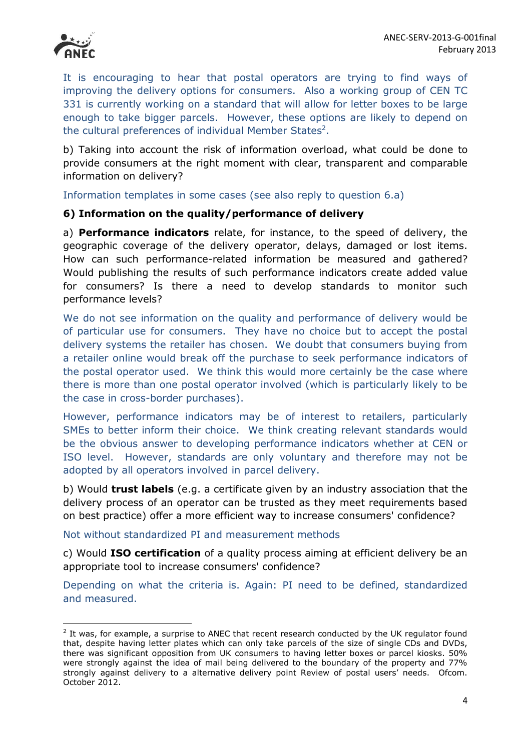

 $\overline{a}$ 

It is encouraging to hear that postal operators are trying to find ways of improving the delivery options for consumers. Also a working group of CEN TC 331 is currently working on a standard that will allow for letter boxes to be large enough to take bigger parcels. However, these options are likely to depend on the cultural preferences of individual Member States<sup>2</sup>.

b) Taking into account the risk of information overload, what could be done to provide consumers at the right moment with clear, transparent and comparable information on delivery?

Information templates in some cases (see also reply to question 6.a)

#### **6) Information on the quality/performance of delivery**

a) **Performance indicators** relate, for instance, to the speed of delivery, the geographic coverage of the delivery operator, delays, damaged or lost items. How can such performance-related information be measured and gathered? Would publishing the results of such performance indicators create added value for consumers? Is there a need to develop standards to monitor such performance levels?

We do not see information on the quality and performance of delivery would be of particular use for consumers. They have no choice but to accept the postal delivery systems the retailer has chosen. We doubt that consumers buying from a retailer online would break off the purchase to seek performance indicators of the postal operator used. We think this would more certainly be the case where there is more than one postal operator involved (which is particularly likely to be the case in cross-border purchases).

However, performance indicators may be of interest to retailers, particularly SMEs to better inform their choice. We think creating relevant standards would be the obvious answer to developing performance indicators whether at CEN or ISO level. However, standards are only voluntary and therefore may not be adopted by all operators involved in parcel delivery.

b) Would **trust labels** (e.g. a certificate given by an industry association that the delivery process of an operator can be trusted as they meet requirements based on best practice) offer a more efficient way to increase consumers' confidence?

Not without standardized PI and measurement methods

c) Would **ISO certification** of a quality process aiming at efficient delivery be an appropriate tool to increase consumers' confidence?

Depending on what the criteria is. Again: PI need to be defined, standardized and measured.

 $2$  It was, for example, a surprise to ANEC that recent research conducted by the UK regulator found that, despite having letter plates which can only take parcels of the size of single CDs and DVDs, there was significant opposition from UK consumers to having letter boxes or parcel kiosks. 50% were strongly against the idea of mail being delivered to the boundary of the property and 77% strongly against delivery to a alternative delivery point Review of postal users' needs. Ofcom. October 2012.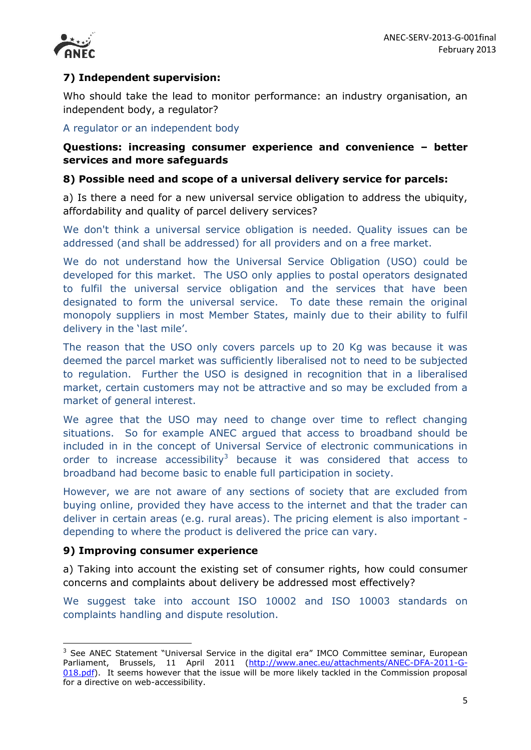

## **7) Independent supervision:**

Who should take the lead to monitor performance: an industry organisation, an independent body, a regulator?

## A regulator or an independent body

#### **Questions: increasing consumer experience and convenience – better services and more safeguards**

#### **8) Possible need and scope of a universal delivery service for parcels:**

a) Is there a need for a new universal service obligation to address the ubiquity, affordability and quality of parcel delivery services?

We don't think a universal service obligation is needed. Quality issues can be addressed (and shall be addressed) for all providers and on a free market.

We do not understand how the Universal Service Obligation (USO) could be developed for this market. The USO only applies to postal operators designated to fulfil the universal service obligation and the services that have been designated to form the universal service. To date these remain the original monopoly suppliers in most Member States, mainly due to their ability to fulfil delivery in the 'last mile'.

The reason that the USO only covers parcels up to 20 Kg was because it was deemed the parcel market was sufficiently liberalised not to need to be subjected to regulation. Further the USO is designed in recognition that in a liberalised market, certain customers may not be attractive and so may be excluded from a market of general interest.

We agree that the USO may need to change over time to reflect changing situations. So for example ANEC argued that access to broadband should be included in in the concept of Universal Service of electronic communications in order to increase accessibility<sup>3</sup> because it was considered that access to broadband had become basic to enable full participation in society.

However, we are not aware of any sections of society that are excluded from buying online, provided they have access to the internet and that the trader can deliver in certain areas (e.g. rural areas). The pricing element is also important depending to where the product is delivered the price can vary.

#### **9) Improving consumer experience**

**.** 

a) Taking into account the existing set of consumer rights, how could consumer concerns and complaints about delivery be addressed most effectively?

We suggest take into account ISO 10002 and ISO 10003 standards on complaints handling and dispute resolution.

 $3$  See ANEC Statement "Universal Service in the digital era" IMCO Committee seminar, European Parliament, Brussels, 11 April 2011 [\(http://www.anec.eu/attachments/ANEC-DFA-2011-G-](http://www.anec.eu/attachments/ANEC-DFA-2011-G-018.pdf)[018.pdf\)](http://www.anec.eu/attachments/ANEC-DFA-2011-G-018.pdf). It seems however that the issue will be more likely tackled in the Commission proposal for a directive on web-accessibility.